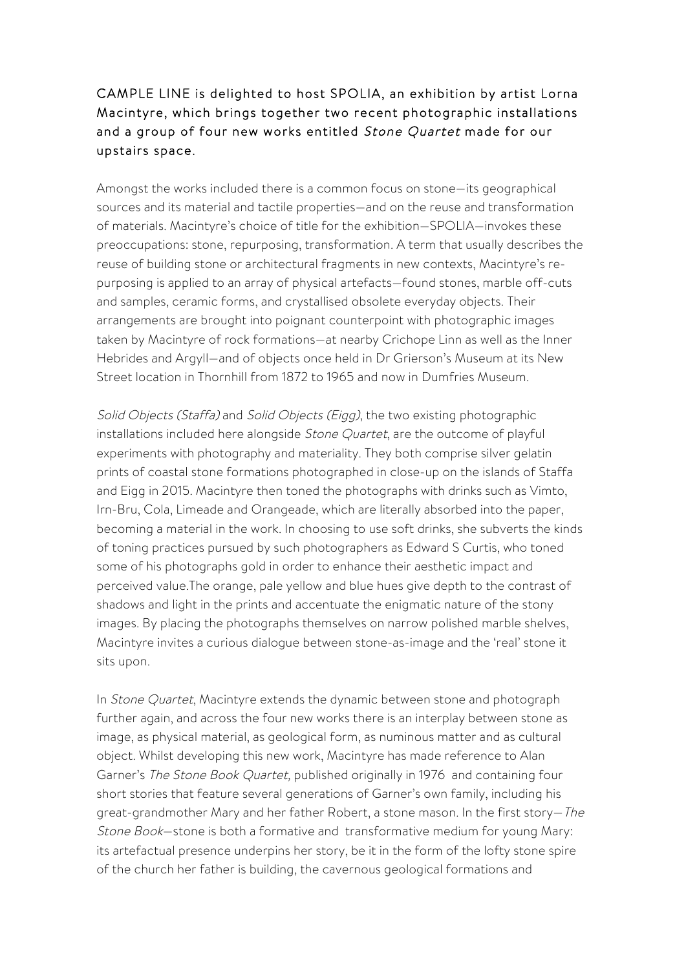## CAMPLE LINE is delighted to host SPOLIA, an exhibition by artist Lorna Macintyre, which brings together two recent photographic installations and a group of four new works entitled Stone Quartet made for our upstairs space.

Amongst the works included there is a common focus on stone—its geographical sources and its material and tactile properties—and on the reuse and transformation of materials. Macintyre's choice of title for the exhibition—SPOLIA—invokes these preoccupations: stone, repurposing, transformation. A term that usually describes the reuse of building stone or architectural fragments in new contexts, Macintyre's repurposing is applied to an array of physical artefacts—found stones, marble off-cuts and samples, ceramic forms, and crystallised obsolete everyday objects. Their arrangements are brought into poignant counterpoint with photographic images taken by Macintyre of rock formations—at nearby Crichope Linn as well as the Inner Hebrides and Argyll—and of objects once held in Dr Grierson's Museum at its New Street location in Thornhill from 1872 to 1965 and now in Dumfries Museum.

Solid Objects (Staffa) and Solid Objects (Eigg), the two existing photographic installations included here alongside Stone Quartet, are the outcome of playful experiments with photography and materiality. They both comprise silver gelatin prints of coastal stone formations photographed in close-up on the islands of Staffa and Eigg in 2015. Macintyre then toned the photographs with drinks such as Vimto, Irn-Bru, Cola, Limeade and Orangeade, which are literally absorbed into the paper, becoming a material in the work. In choosing to use soft drinks, she subverts the kinds of toning practices pursued by such photographers as Edward S Curtis, who toned some of his photographs gold in order to enhance their aesthetic impact and perceived value.The orange, pale yellow and blue hues give depth to the contrast of shadows and light in the prints and accentuate the enigmatic nature of the stony images. By placing the photographs themselves on narrow polished marble shelves, Macintyre invites a curious dialogue between stone-as-image and the 'real' stone it sits upon.

In Stone Quartet, Macintyre extends the dynamic between stone and photograph further again, and across the four new works there is an interplay between stone as image, as physical material, as geological form, as numinous matter and as cultural object. Whilst developing this new work, Macintyre has made reference to Alan Garner's The Stone Book Quartet, published originally in 1976 and containing four short stories that feature several generations of Garner's own family, including his great-grandmother Mary and her father Robert, a stone mason. In the first story—The Stone Book—stone is both a formative and transformative medium for young Mary: its artefactual presence underpins her story, be it in the form of the lofty stone spire of the church her father is building, the cavernous geological formations and